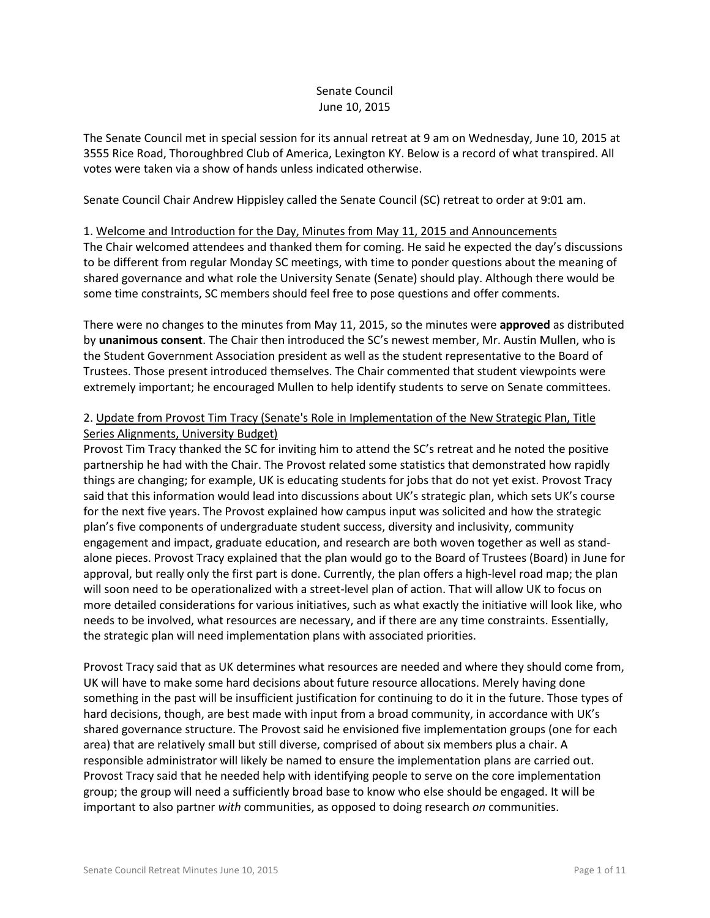# Senate Council June 10, 2015

The Senate Council met in special session for its annual retreat at 9 am on Wednesday, June 10, 2015 at 3555 Rice Road, Thoroughbred Club of America, Lexington KY. Below is a record of what transpired. All votes were taken via a show of hands unless indicated otherwise.

Senate Council Chair Andrew Hippisley called the Senate Council (SC) retreat to order at 9:01 am.

#### 1. Welcome and Introduction for the Day, Minutes from May 11, 2015 and Announcements

The Chair welcomed attendees and thanked them for coming. He said he expected the day's discussions to be different from regular Monday SC meetings, with time to ponder questions about the meaning of shared governance and what role the University Senate (Senate) should play. Although there would be some time constraints, SC members should feel free to pose questions and offer comments.

There were no changes to the minutes from May 11, 2015, so the minutes were **approved** as distributed by **unanimous consent**. The Chair then introduced the SC's newest member, Mr. Austin Mullen, who is the Student Government Association president as well as the student representative to the Board of Trustees. Those present introduced themselves. The Chair commented that student viewpoints were extremely important; he encouraged Mullen to help identify students to serve on Senate committees.

# 2. Update from Provost Tim Tracy (Senate's Role in Implementation of the New Strategic Plan, Title Series Alignments, University Budget)

Provost Tim Tracy thanked the SC for inviting him to attend the SC's retreat and he noted the positive partnership he had with the Chair. The Provost related some statistics that demonstrated how rapidly things are changing; for example, UK is educating students for jobs that do not yet exist. Provost Tracy said that this information would lead into discussions about UK's strategic plan, which sets UK's course for the next five years. The Provost explained how campus input was solicited and how the strategic plan's five components of undergraduate student success, diversity and inclusivity, community engagement and impact, graduate education, and research are both woven together as well as standalone pieces. Provost Tracy explained that the plan would go to the Board of Trustees (Board) in June for approval, but really only the first part is done. Currently, the plan offers a high-level road map; the plan will soon need to be operationalized with a street-level plan of action. That will allow UK to focus on more detailed considerations for various initiatives, such as what exactly the initiative will look like, who needs to be involved, what resources are necessary, and if there are any time constraints. Essentially, the strategic plan will need implementation plans with associated priorities.

Provost Tracy said that as UK determines what resources are needed and where they should come from, UK will have to make some hard decisions about future resource allocations. Merely having done something in the past will be insufficient justification for continuing to do it in the future. Those types of hard decisions, though, are best made with input from a broad community, in accordance with UK's shared governance structure. The Provost said he envisioned five implementation groups (one for each area) that are relatively small but still diverse, comprised of about six members plus a chair. A responsible administrator will likely be named to ensure the implementation plans are carried out. Provost Tracy said that he needed help with identifying people to serve on the core implementation group; the group will need a sufficiently broad base to know who else should be engaged. It will be important to also partner *with* communities, as opposed to doing research *on* communities.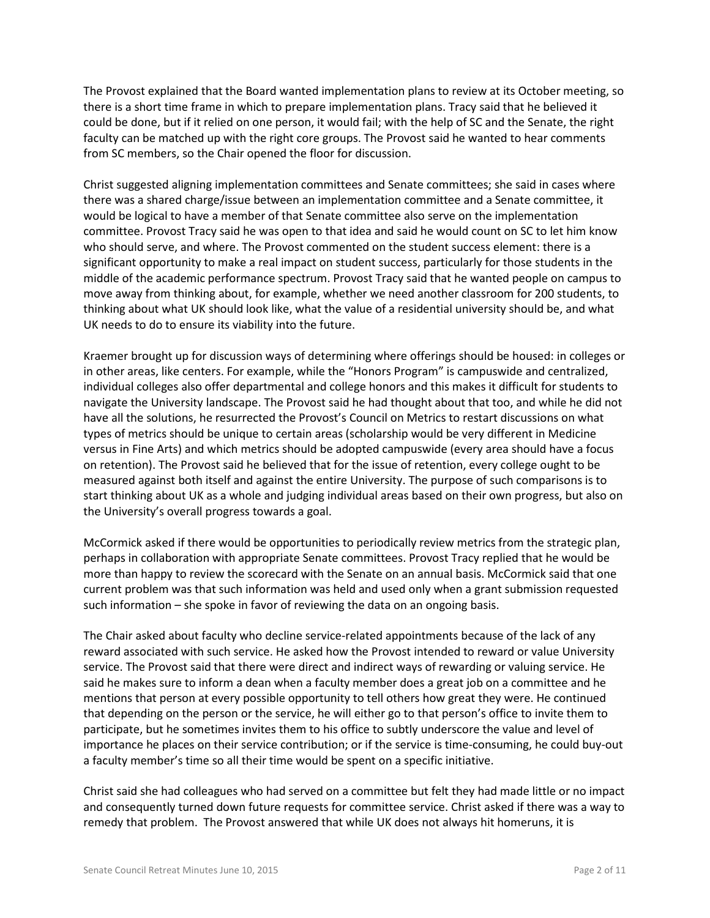The Provost explained that the Board wanted implementation plans to review at its October meeting, so there is a short time frame in which to prepare implementation plans. Tracy said that he believed it could be done, but if it relied on one person, it would fail; with the help of SC and the Senate, the right faculty can be matched up with the right core groups. The Provost said he wanted to hear comments from SC members, so the Chair opened the floor for discussion.

Christ suggested aligning implementation committees and Senate committees; she said in cases where there was a shared charge/issue between an implementation committee and a Senate committee, it would be logical to have a member of that Senate committee also serve on the implementation committee. Provost Tracy said he was open to that idea and said he would count on SC to let him know who should serve, and where. The Provost commented on the student success element: there is a significant opportunity to make a real impact on student success, particularly for those students in the middle of the academic performance spectrum. Provost Tracy said that he wanted people on campus to move away from thinking about, for example, whether we need another classroom for 200 students, to thinking about what UK should look like, what the value of a residential university should be, and what UK needs to do to ensure its viability into the future.

Kraemer brought up for discussion ways of determining where offerings should be housed: in colleges or in other areas, like centers. For example, while the "Honors Program" is campuswide and centralized, individual colleges also offer departmental and college honors and this makes it difficult for students to navigate the University landscape. The Provost said he had thought about that too, and while he did not have all the solutions, he resurrected the Provost's Council on Metrics to restart discussions on what types of metrics should be unique to certain areas (scholarship would be very different in Medicine versus in Fine Arts) and which metrics should be adopted campuswide (every area should have a focus on retention). The Provost said he believed that for the issue of retention, every college ought to be measured against both itself and against the entire University. The purpose of such comparisons is to start thinking about UK as a whole and judging individual areas based on their own progress, but also on the University's overall progress towards a goal.

McCormick asked if there would be opportunities to periodically review metrics from the strategic plan, perhaps in collaboration with appropriate Senate committees. Provost Tracy replied that he would be more than happy to review the scorecard with the Senate on an annual basis. McCormick said that one current problem was that such information was held and used only when a grant submission requested such information – she spoke in favor of reviewing the data on an ongoing basis.

The Chair asked about faculty who decline service-related appointments because of the lack of any reward associated with such service. He asked how the Provost intended to reward or value University service. The Provost said that there were direct and indirect ways of rewarding or valuing service. He said he makes sure to inform a dean when a faculty member does a great job on a committee and he mentions that person at every possible opportunity to tell others how great they were. He continued that depending on the person or the service, he will either go to that person's office to invite them to participate, but he sometimes invites them to his office to subtly underscore the value and level of importance he places on their service contribution; or if the service is time-consuming, he could buy-out a faculty member's time so all their time would be spent on a specific initiative.

Christ said she had colleagues who had served on a committee but felt they had made little or no impact and consequently turned down future requests for committee service. Christ asked if there was a way to remedy that problem. The Provost answered that while UK does not always hit homeruns, it is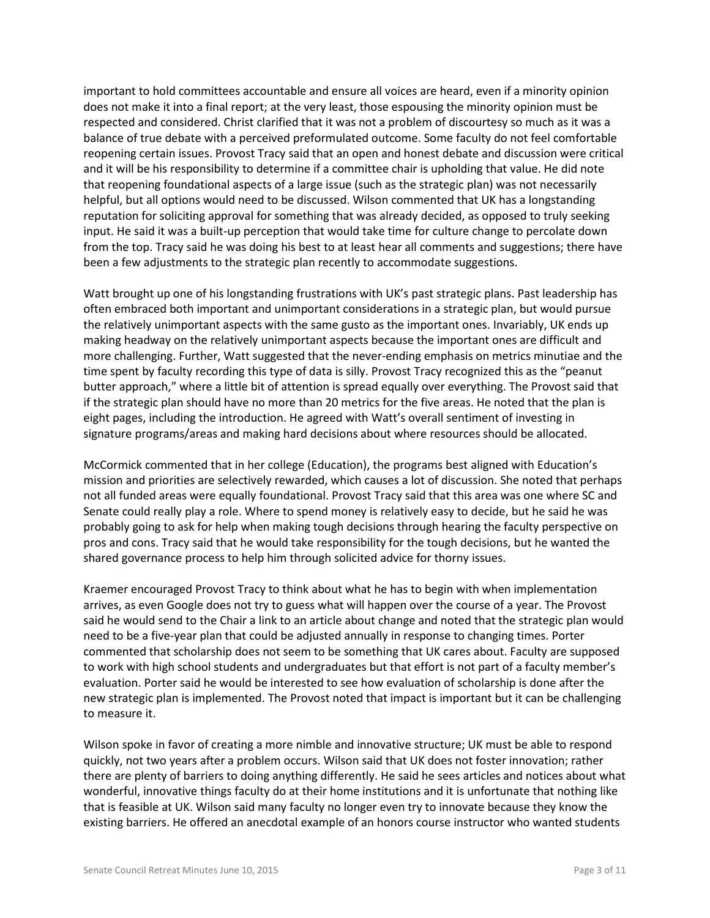important to hold committees accountable and ensure all voices are heard, even if a minority opinion does not make it into a final report; at the very least, those espousing the minority opinion must be respected and considered. Christ clarified that it was not a problem of discourtesy so much as it was a balance of true debate with a perceived preformulated outcome. Some faculty do not feel comfortable reopening certain issues. Provost Tracy said that an open and honest debate and discussion were critical and it will be his responsibility to determine if a committee chair is upholding that value. He did note that reopening foundational aspects of a large issue (such as the strategic plan) was not necessarily helpful, but all options would need to be discussed. Wilson commented that UK has a longstanding reputation for soliciting approval for something that was already decided, as opposed to truly seeking input. He said it was a built-up perception that would take time for culture change to percolate down from the top. Tracy said he was doing his best to at least hear all comments and suggestions; there have been a few adjustments to the strategic plan recently to accommodate suggestions.

Watt brought up one of his longstanding frustrations with UK's past strategic plans. Past leadership has often embraced both important and unimportant considerations in a strategic plan, but would pursue the relatively unimportant aspects with the same gusto as the important ones. Invariably, UK ends up making headway on the relatively unimportant aspects because the important ones are difficult and more challenging. Further, Watt suggested that the never-ending emphasis on metrics minutiae and the time spent by faculty recording this type of data is silly. Provost Tracy recognized this as the "peanut butter approach," where a little bit of attention is spread equally over everything. The Provost said that if the strategic plan should have no more than 20 metrics for the five areas. He noted that the plan is eight pages, including the introduction. He agreed with Watt's overall sentiment of investing in signature programs/areas and making hard decisions about where resources should be allocated.

McCormick commented that in her college (Education), the programs best aligned with Education's mission and priorities are selectively rewarded, which causes a lot of discussion. She noted that perhaps not all funded areas were equally foundational. Provost Tracy said that this area was one where SC and Senate could really play a role. Where to spend money is relatively easy to decide, but he said he was probably going to ask for help when making tough decisions through hearing the faculty perspective on pros and cons. Tracy said that he would take responsibility for the tough decisions, but he wanted the shared governance process to help him through solicited advice for thorny issues.

Kraemer encouraged Provost Tracy to think about what he has to begin with when implementation arrives, as even Google does not try to guess what will happen over the course of a year. The Provost said he would send to the Chair a link to an article about change and noted that the strategic plan would need to be a five-year plan that could be adjusted annually in response to changing times. Porter commented that scholarship does not seem to be something that UK cares about. Faculty are supposed to work with high school students and undergraduates but that effort is not part of a faculty member's evaluation. Porter said he would be interested to see how evaluation of scholarship is done after the new strategic plan is implemented. The Provost noted that impact is important but it can be challenging to measure it.

Wilson spoke in favor of creating a more nimble and innovative structure; UK must be able to respond quickly, not two years after a problem occurs. Wilson said that UK does not foster innovation; rather there are plenty of barriers to doing anything differently. He said he sees articles and notices about what wonderful, innovative things faculty do at their home institutions and it is unfortunate that nothing like that is feasible at UK. Wilson said many faculty no longer even try to innovate because they know the existing barriers. He offered an anecdotal example of an honors course instructor who wanted students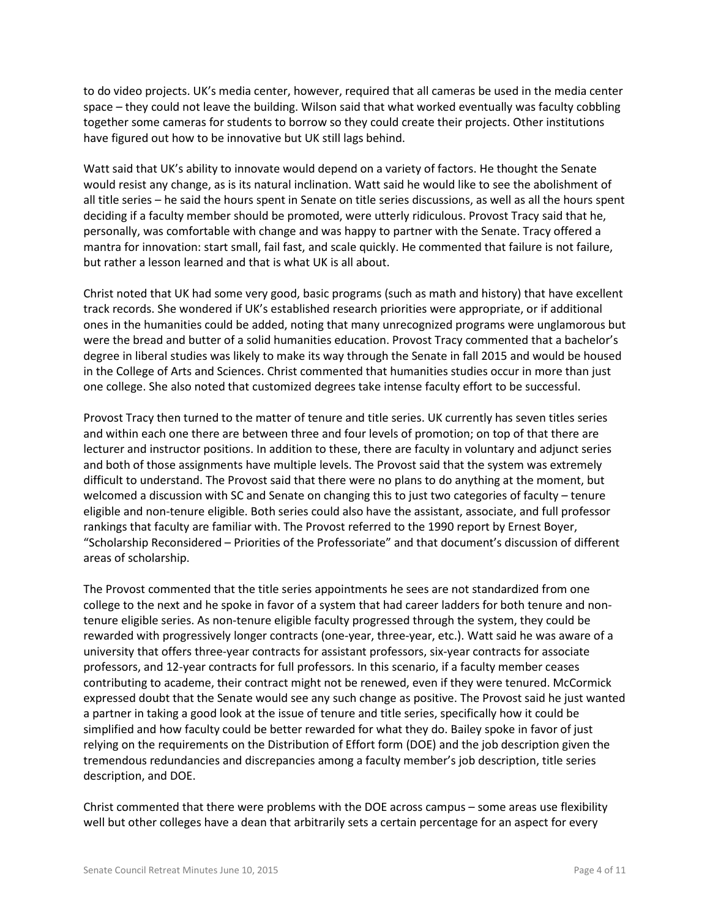to do video projects. UK's media center, however, required that all cameras be used in the media center space – they could not leave the building. Wilson said that what worked eventually was faculty cobbling together some cameras for students to borrow so they could create their projects. Other institutions have figured out how to be innovative but UK still lags behind.

Watt said that UK's ability to innovate would depend on a variety of factors. He thought the Senate would resist any change, as is its natural inclination. Watt said he would like to see the abolishment of all title series – he said the hours spent in Senate on title series discussions, as well as all the hours spent deciding if a faculty member should be promoted, were utterly ridiculous. Provost Tracy said that he, personally, was comfortable with change and was happy to partner with the Senate. Tracy offered a mantra for innovation: start small, fail fast, and scale quickly. He commented that failure is not failure, but rather a lesson learned and that is what UK is all about.

Christ noted that UK had some very good, basic programs (such as math and history) that have excellent track records. She wondered if UK's established research priorities were appropriate, or if additional ones in the humanities could be added, noting that many unrecognized programs were unglamorous but were the bread and butter of a solid humanities education. Provost Tracy commented that a bachelor's degree in liberal studies was likely to make its way through the Senate in fall 2015 and would be housed in the College of Arts and Sciences. Christ commented that humanities studies occur in more than just one college. She also noted that customized degrees take intense faculty effort to be successful.

Provost Tracy then turned to the matter of tenure and title series. UK currently has seven titles series and within each one there are between three and four levels of promotion; on top of that there are lecturer and instructor positions. In addition to these, there are faculty in voluntary and adjunct series and both of those assignments have multiple levels. The Provost said that the system was extremely difficult to understand. The Provost said that there were no plans to do anything at the moment, but welcomed a discussion with SC and Senate on changing this to just two categories of faculty – tenure eligible and non-tenure eligible. Both series could also have the assistant, associate, and full professor rankings that faculty are familiar with. The Provost referred to the 1990 report by Ernest Boyer, "Scholarship Reconsidered – Priorities of the Professoriate" and that document's discussion of different areas of scholarship.

The Provost commented that the title series appointments he sees are not standardized from one college to the next and he spoke in favor of a system that had career ladders for both tenure and nontenure eligible series. As non-tenure eligible faculty progressed through the system, they could be rewarded with progressively longer contracts (one-year, three-year, etc.). Watt said he was aware of a university that offers three-year contracts for assistant professors, six-year contracts for associate professors, and 12-year contracts for full professors. In this scenario, if a faculty member ceases contributing to academe, their contract might not be renewed, even if they were tenured. McCormick expressed doubt that the Senate would see any such change as positive. The Provost said he just wanted a partner in taking a good look at the issue of tenure and title series, specifically how it could be simplified and how faculty could be better rewarded for what they do. Bailey spoke in favor of just relying on the requirements on the Distribution of Effort form (DOE) and the job description given the tremendous redundancies and discrepancies among a faculty member's job description, title series description, and DOE.

Christ commented that there were problems with the DOE across campus – some areas use flexibility well but other colleges have a dean that arbitrarily sets a certain percentage for an aspect for every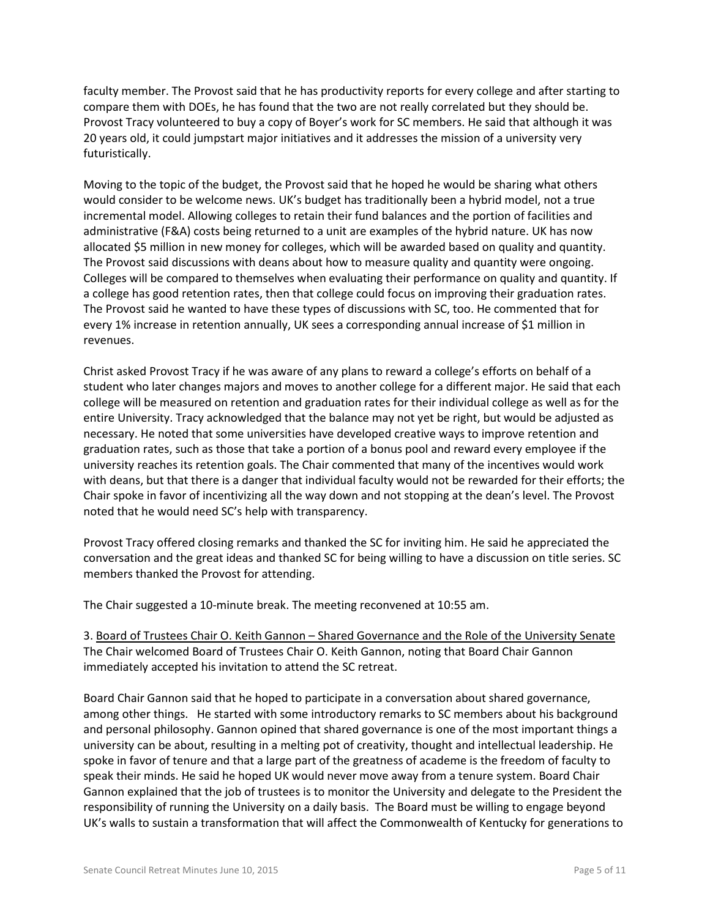faculty member. The Provost said that he has productivity reports for every college and after starting to compare them with DOEs, he has found that the two are not really correlated but they should be. Provost Tracy volunteered to buy a copy of Boyer's work for SC members. He said that although it was 20 years old, it could jumpstart major initiatives and it addresses the mission of a university very futuristically.

Moving to the topic of the budget, the Provost said that he hoped he would be sharing what others would consider to be welcome news. UK's budget has traditionally been a hybrid model, not a true incremental model. Allowing colleges to retain their fund balances and the portion of facilities and administrative (F&A) costs being returned to a unit are examples of the hybrid nature. UK has now allocated \$5 million in new money for colleges, which will be awarded based on quality and quantity. The Provost said discussions with deans about how to measure quality and quantity were ongoing. Colleges will be compared to themselves when evaluating their performance on quality and quantity. If a college has good retention rates, then that college could focus on improving their graduation rates. The Provost said he wanted to have these types of discussions with SC, too. He commented that for every 1% increase in retention annually, UK sees a corresponding annual increase of \$1 million in revenues.

Christ asked Provost Tracy if he was aware of any plans to reward a college's efforts on behalf of a student who later changes majors and moves to another college for a different major. He said that each college will be measured on retention and graduation rates for their individual college as well as for the entire University. Tracy acknowledged that the balance may not yet be right, but would be adjusted as necessary. He noted that some universities have developed creative ways to improve retention and graduation rates, such as those that take a portion of a bonus pool and reward every employee if the university reaches its retention goals. The Chair commented that many of the incentives would work with deans, but that there is a danger that individual faculty would not be rewarded for their efforts; the Chair spoke in favor of incentivizing all the way down and not stopping at the dean's level. The Provost noted that he would need SC's help with transparency.

Provost Tracy offered closing remarks and thanked the SC for inviting him. He said he appreciated the conversation and the great ideas and thanked SC for being willing to have a discussion on title series. SC members thanked the Provost for attending.

The Chair suggested a 10-minute break. The meeting reconvened at 10:55 am.

3. Board of Trustees Chair O. Keith Gannon – Shared Governance and the Role of the University Senate The Chair welcomed Board of Trustees Chair O. Keith Gannon, noting that Board Chair Gannon immediately accepted his invitation to attend the SC retreat.

Board Chair Gannon said that he hoped to participate in a conversation about shared governance, among other things. He started with some introductory remarks to SC members about his background and personal philosophy. Gannon opined that shared governance is one of the most important things a university can be about, resulting in a melting pot of creativity, thought and intellectual leadership. He spoke in favor of tenure and that a large part of the greatness of academe is the freedom of faculty to speak their minds. He said he hoped UK would never move away from a tenure system. Board Chair Gannon explained that the job of trustees is to monitor the University and delegate to the President the responsibility of running the University on a daily basis. The Board must be willing to engage beyond UK's walls to sustain a transformation that will affect the Commonwealth of Kentucky for generations to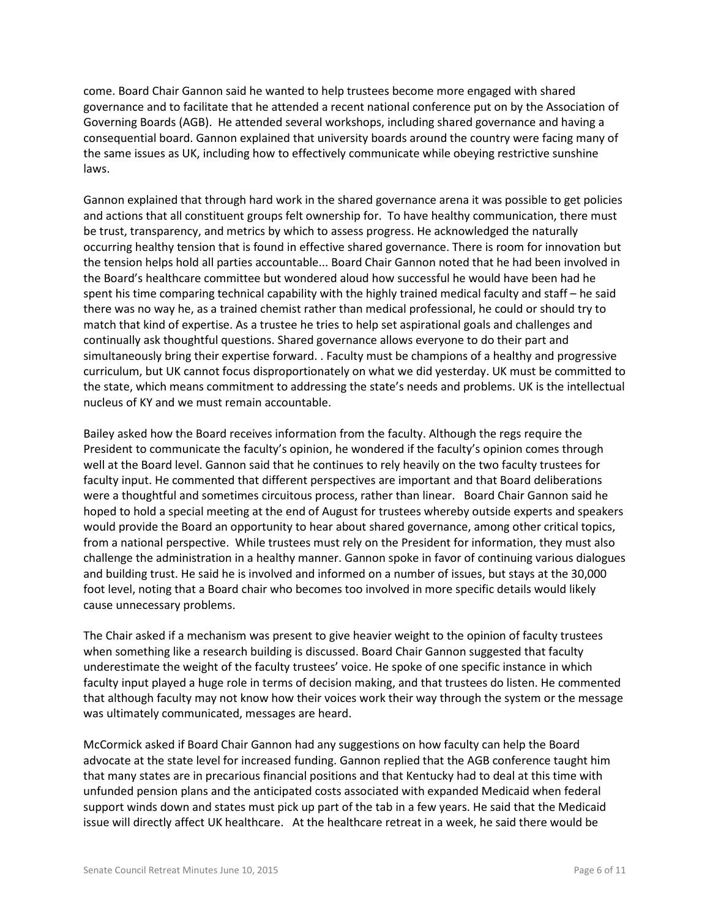come. Board Chair Gannon said he wanted to help trustees become more engaged with shared governance and to facilitate that he attended a recent national conference put on by the Association of Governing Boards (AGB). He attended several workshops, including shared governance and having a consequential board. Gannon explained that university boards around the country were facing many of the same issues as UK, including how to effectively communicate while obeying restrictive sunshine laws.

Gannon explained that through hard work in the shared governance arena it was possible to get policies and actions that all constituent groups felt ownership for. To have healthy communication, there must be trust, transparency, and metrics by which to assess progress. He acknowledged the naturally occurring healthy tension that is found in effective shared governance. There is room for innovation but the tension helps hold all parties accountable... Board Chair Gannon noted that he had been involved in the Board's healthcare committee but wondered aloud how successful he would have been had he spent his time comparing technical capability with the highly trained medical faculty and staff – he said there was no way he, as a trained chemist rather than medical professional, he could or should try to match that kind of expertise. As a trustee he tries to help set aspirational goals and challenges and continually ask thoughtful questions. Shared governance allows everyone to do their part and simultaneously bring their expertise forward. . Faculty must be champions of a healthy and progressive curriculum, but UK cannot focus disproportionately on what we did yesterday. UK must be committed to the state, which means commitment to addressing the state's needs and problems. UK is the intellectual nucleus of KY and we must remain accountable.

Bailey asked how the Board receives information from the faculty. Although the regs require the President to communicate the faculty's opinion, he wondered if the faculty's opinion comes through well at the Board level. Gannon said that he continues to rely heavily on the two faculty trustees for faculty input. He commented that different perspectives are important and that Board deliberations were a thoughtful and sometimes circuitous process, rather than linear. Board Chair Gannon said he hoped to hold a special meeting at the end of August for trustees whereby outside experts and speakers would provide the Board an opportunity to hear about shared governance, among other critical topics, from a national perspective. While trustees must rely on the President for information, they must also challenge the administration in a healthy manner. Gannon spoke in favor of continuing various dialogues and building trust. He said he is involved and informed on a number of issues, but stays at the 30,000 foot level, noting that a Board chair who becomes too involved in more specific details would likely cause unnecessary problems.

The Chair asked if a mechanism was present to give heavier weight to the opinion of faculty trustees when something like a research building is discussed. Board Chair Gannon suggested that faculty underestimate the weight of the faculty trustees' voice. He spoke of one specific instance in which faculty input played a huge role in terms of decision making, and that trustees do listen. He commented that although faculty may not know how their voices work their way through the system or the message was ultimately communicated, messages are heard.

McCormick asked if Board Chair Gannon had any suggestions on how faculty can help the Board advocate at the state level for increased funding. Gannon replied that the AGB conference taught him that many states are in precarious financial positions and that Kentucky had to deal at this time with unfunded pension plans and the anticipated costs associated with expanded Medicaid when federal support winds down and states must pick up part of the tab in a few years. He said that the Medicaid issue will directly affect UK healthcare. At the healthcare retreat in a week, he said there would be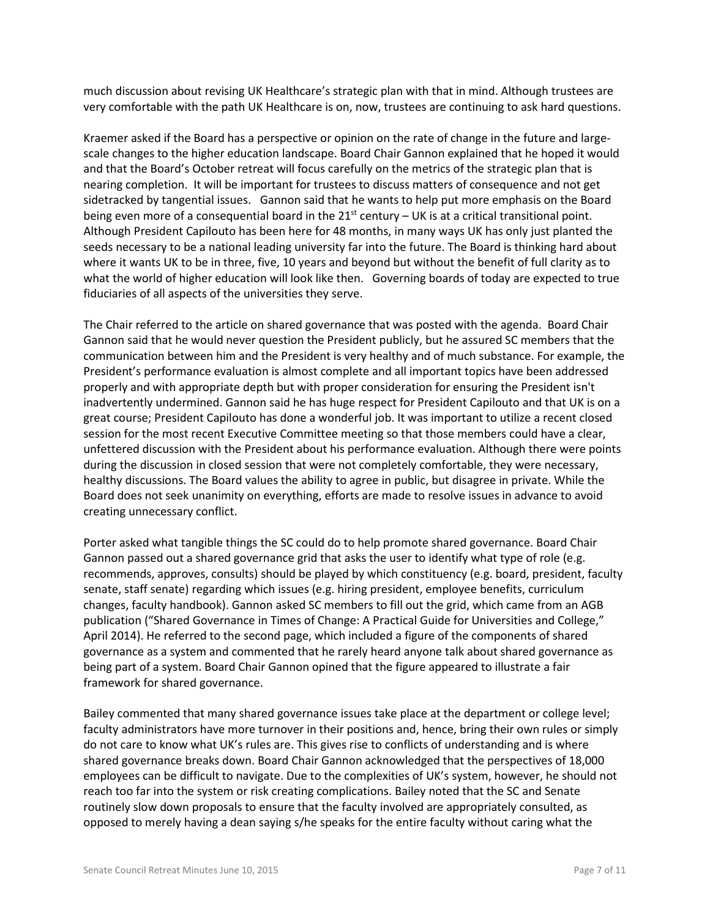much discussion about revising UK Healthcare's strategic plan with that in mind. Although trustees are very comfortable with the path UK Healthcare is on, now, trustees are continuing to ask hard questions.

Kraemer asked if the Board has a perspective or opinion on the rate of change in the future and largescale changes to the higher education landscape. Board Chair Gannon explained that he hoped it would and that the Board's October retreat will focus carefully on the metrics of the strategic plan that is nearing completion. It will be important for trustees to discuss matters of consequence and not get sidetracked by tangential issues. Gannon said that he wants to help put more emphasis on the Board being even more of a consequential board in the  $21^{st}$  century – UK is at a critical transitional point. Although President Capilouto has been here for 48 months, in many ways UK has only just planted the seeds necessary to be a national leading university far into the future. The Board is thinking hard about where it wants UK to be in three, five, 10 years and beyond but without the benefit of full clarity as to what the world of higher education will look like then. Governing boards of today are expected to true fiduciaries of all aspects of the universities they serve.

The Chair referred to the article on shared governance that was posted with the agenda. Board Chair Gannon said that he would never question the President publicly, but he assured SC members that the communication between him and the President is very healthy and of much substance. For example, the President's performance evaluation is almost complete and all important topics have been addressed properly and with appropriate depth but with proper consideration for ensuring the President isn't inadvertently undermined. Gannon said he has huge respect for President Capilouto and that UK is on a great course; President Capilouto has done a wonderful job. It was important to utilize a recent closed session for the most recent Executive Committee meeting so that those members could have a clear, unfettered discussion with the President about his performance evaluation. Although there were points during the discussion in closed session that were not completely comfortable, they were necessary, healthy discussions. The Board values the ability to agree in public, but disagree in private. While the Board does not seek unanimity on everything, efforts are made to resolve issues in advance to avoid creating unnecessary conflict.

Porter asked what tangible things the SC could do to help promote shared governance. Board Chair Gannon passed out a shared governance grid that asks the user to identify what type of role (e.g. recommends, approves, consults) should be played by which constituency (e.g. board, president, faculty senate, staff senate) regarding which issues (e.g. hiring president, employee benefits, curriculum changes, faculty handbook). Gannon asked SC members to fill out the grid, which came from an AGB publication ("Shared Governance in Times of Change: A Practical Guide for Universities and College," April 2014). He referred to the second page, which included a figure of the components of shared governance as a system and commented that he rarely heard anyone talk about shared governance as being part of a system. Board Chair Gannon opined that the figure appeared to illustrate a fair framework for shared governance.

Bailey commented that many shared governance issues take place at the department or college level; faculty administrators have more turnover in their positions and, hence, bring their own rules or simply do not care to know what UK's rules are. This gives rise to conflicts of understanding and is where shared governance breaks down. Board Chair Gannon acknowledged that the perspectives of 18,000 employees can be difficult to navigate. Due to the complexities of UK's system, however, he should not reach too far into the system or risk creating complications. Bailey noted that the SC and Senate routinely slow down proposals to ensure that the faculty involved are appropriately consulted, as opposed to merely having a dean saying s/he speaks for the entire faculty without caring what the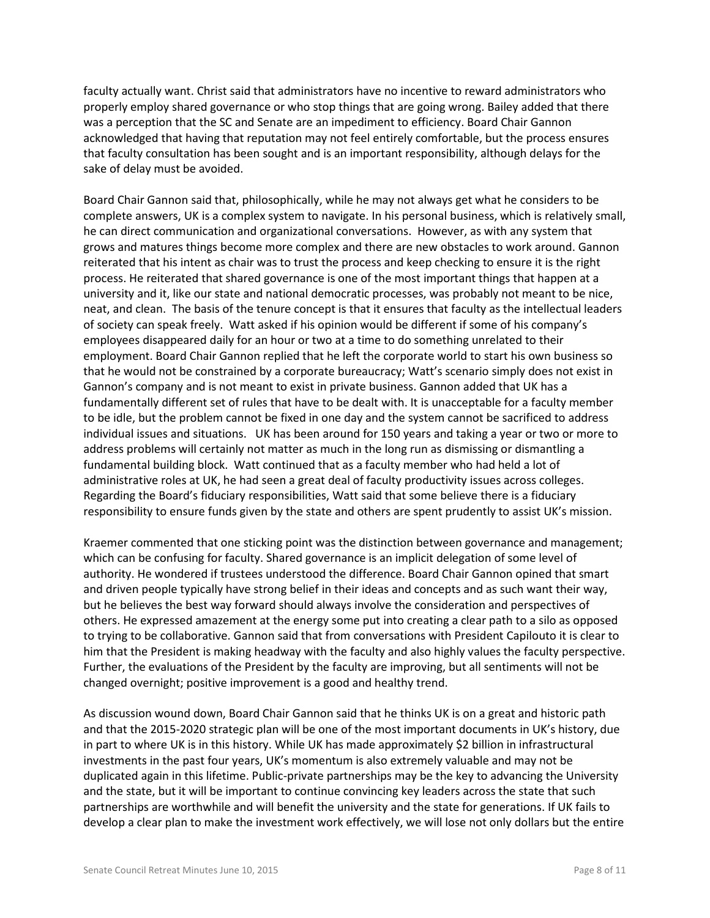faculty actually want. Christ said that administrators have no incentive to reward administrators who properly employ shared governance or who stop things that are going wrong. Bailey added that there was a perception that the SC and Senate are an impediment to efficiency. Board Chair Gannon acknowledged that having that reputation may not feel entirely comfortable, but the process ensures that faculty consultation has been sought and is an important responsibility, although delays for the sake of delay must be avoided.

Board Chair Gannon said that, philosophically, while he may not always get what he considers to be complete answers, UK is a complex system to navigate. In his personal business, which is relatively small, he can direct communication and organizational conversations. However, as with any system that grows and matures things become more complex and there are new obstacles to work around. Gannon reiterated that his intent as chair was to trust the process and keep checking to ensure it is the right process. He reiterated that shared governance is one of the most important things that happen at a university and it, like our state and national democratic processes, was probably not meant to be nice, neat, and clean. The basis of the tenure concept is that it ensures that faculty as the intellectual leaders of society can speak freely. Watt asked if his opinion would be different if some of his company's employees disappeared daily for an hour or two at a time to do something unrelated to their employment. Board Chair Gannon replied that he left the corporate world to start his own business so that he would not be constrained by a corporate bureaucracy; Watt's scenario simply does not exist in Gannon's company and is not meant to exist in private business. Gannon added that UK has a fundamentally different set of rules that have to be dealt with. It is unacceptable for a faculty member to be idle, but the problem cannot be fixed in one day and the system cannot be sacrificed to address individual issues and situations. UK has been around for 150 years and taking a year or two or more to address problems will certainly not matter as much in the long run as dismissing or dismantling a fundamental building block. Watt continued that as a faculty member who had held a lot of administrative roles at UK, he had seen a great deal of faculty productivity issues across colleges. Regarding the Board's fiduciary responsibilities, Watt said that some believe there is a fiduciary responsibility to ensure funds given by the state and others are spent prudently to assist UK's mission.

Kraemer commented that one sticking point was the distinction between governance and management; which can be confusing for faculty. Shared governance is an implicit delegation of some level of authority. He wondered if trustees understood the difference. Board Chair Gannon opined that smart and driven people typically have strong belief in their ideas and concepts and as such want their way, but he believes the best way forward should always involve the consideration and perspectives of others. He expressed amazement at the energy some put into creating a clear path to a silo as opposed to trying to be collaborative. Gannon said that from conversations with President Capilouto it is clear to him that the President is making headway with the faculty and also highly values the faculty perspective. Further, the evaluations of the President by the faculty are improving, but all sentiments will not be changed overnight; positive improvement is a good and healthy trend.

As discussion wound down, Board Chair Gannon said that he thinks UK is on a great and historic path and that the 2015-2020 strategic plan will be one of the most important documents in UK's history, due in part to where UK is in this history. While UK has made approximately \$2 billion in infrastructural investments in the past four years, UK's momentum is also extremely valuable and may not be duplicated again in this lifetime. Public-private partnerships may be the key to advancing the University and the state, but it will be important to continue convincing key leaders across the state that such partnerships are worthwhile and will benefit the university and the state for generations. If UK fails to develop a clear plan to make the investment work effectively, we will lose not only dollars but the entire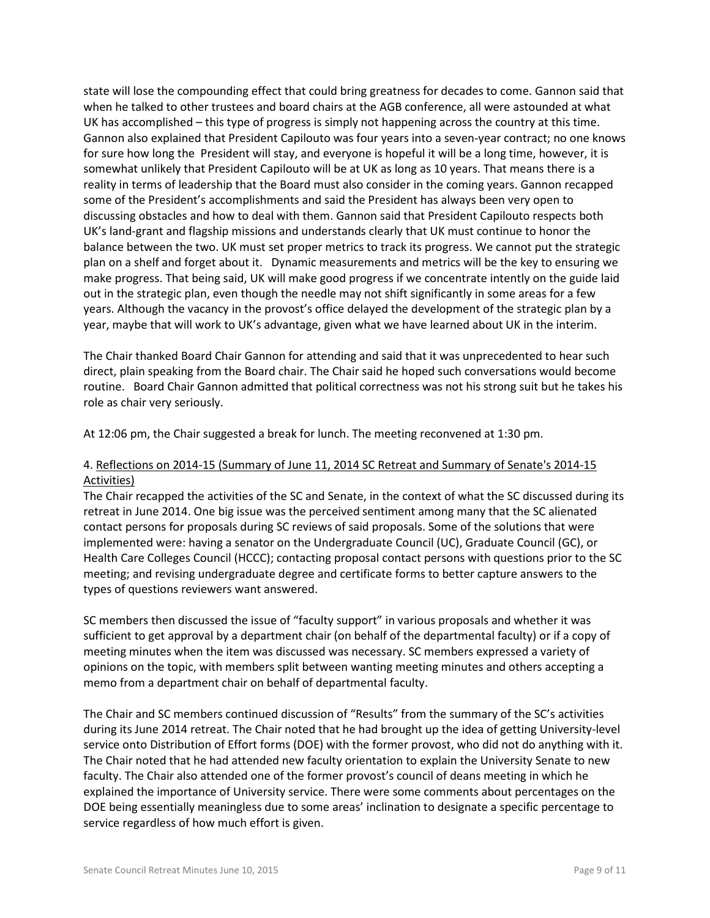state will lose the compounding effect that could bring greatness for decades to come. Gannon said that when he talked to other trustees and board chairs at the AGB conference, all were astounded at what UK has accomplished – this type of progress is simply not happening across the country at this time. Gannon also explained that President Capilouto was four years into a seven-year contract; no one knows for sure how long the President will stay, and everyone is hopeful it will be a long time, however, it is somewhat unlikely that President Capilouto will be at UK as long as 10 years. That means there is a reality in terms of leadership that the Board must also consider in the coming years. Gannon recapped some of the President's accomplishments and said the President has always been very open to discussing obstacles and how to deal with them. Gannon said that President Capilouto respects both UK's land-grant and flagship missions and understands clearly that UK must continue to honor the balance between the two. UK must set proper metrics to track its progress. We cannot put the strategic plan on a shelf and forget about it. Dynamic measurements and metrics will be the key to ensuring we make progress. That being said, UK will make good progress if we concentrate intently on the guide laid out in the strategic plan, even though the needle may not shift significantly in some areas for a few years. Although the vacancy in the provost's office delayed the development of the strategic plan by a year, maybe that will work to UK's advantage, given what we have learned about UK in the interim.

The Chair thanked Board Chair Gannon for attending and said that it was unprecedented to hear such direct, plain speaking from the Board chair. The Chair said he hoped such conversations would become routine. Board Chair Gannon admitted that political correctness was not his strong suit but he takes his role as chair very seriously.

At 12:06 pm, the Chair suggested a break for lunch. The meeting reconvened at 1:30 pm.

# 4. Reflections on 2014-15 (Summary of June 11, 2014 SC Retreat and Summary of Senate's 2014-15 Activities)

The Chair recapped the activities of the SC and Senate, in the context of what the SC discussed during its retreat in June 2014. One big issue was the perceived sentiment among many that the SC alienated contact persons for proposals during SC reviews of said proposals. Some of the solutions that were implemented were: having a senator on the Undergraduate Council (UC), Graduate Council (GC), or Health Care Colleges Council (HCCC); contacting proposal contact persons with questions prior to the SC meeting; and revising undergraduate degree and certificate forms to better capture answers to the types of questions reviewers want answered.

SC members then discussed the issue of "faculty support" in various proposals and whether it was sufficient to get approval by a department chair (on behalf of the departmental faculty) or if a copy of meeting minutes when the item was discussed was necessary. SC members expressed a variety of opinions on the topic, with members split between wanting meeting minutes and others accepting a memo from a department chair on behalf of departmental faculty.

The Chair and SC members continued discussion of "Results" from the summary of the SC's activities during its June 2014 retreat. The Chair noted that he had brought up the idea of getting University-level service onto Distribution of Effort forms (DOE) with the former provost, who did not do anything with it. The Chair noted that he had attended new faculty orientation to explain the University Senate to new faculty. The Chair also attended one of the former provost's council of deans meeting in which he explained the importance of University service. There were some comments about percentages on the DOE being essentially meaningless due to some areas' inclination to designate a specific percentage to service regardless of how much effort is given.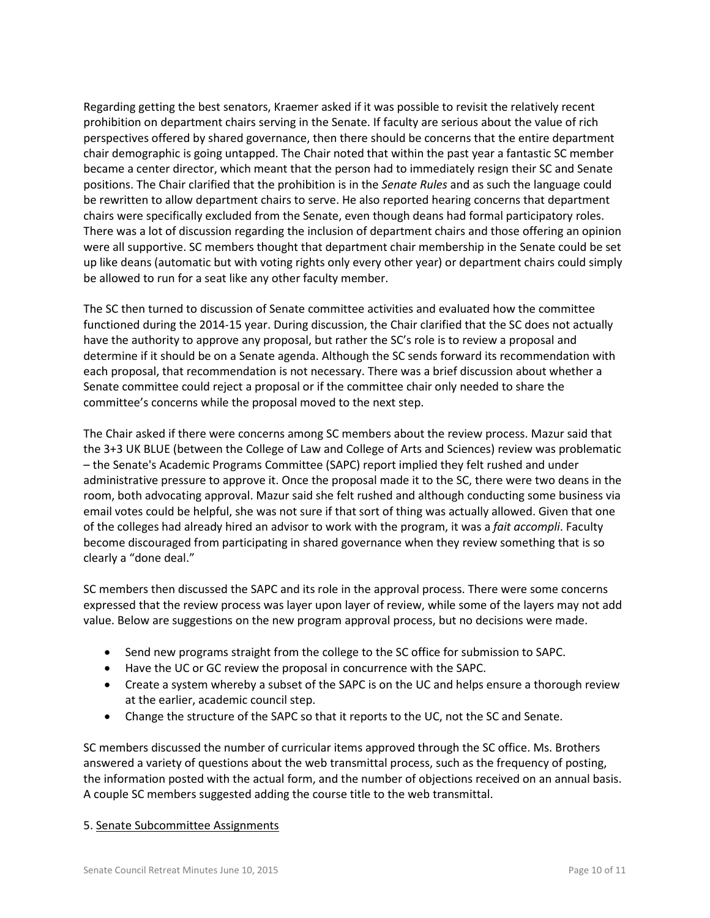Regarding getting the best senators, Kraemer asked if it was possible to revisit the relatively recent prohibition on department chairs serving in the Senate. If faculty are serious about the value of rich perspectives offered by shared governance, then there should be concerns that the entire department chair demographic is going untapped. The Chair noted that within the past year a fantastic SC member became a center director, which meant that the person had to immediately resign their SC and Senate positions. The Chair clarified that the prohibition is in the *Senate Rules* and as such the language could be rewritten to allow department chairs to serve. He also reported hearing concerns that department chairs were specifically excluded from the Senate, even though deans had formal participatory roles. There was a lot of discussion regarding the inclusion of department chairs and those offering an opinion were all supportive. SC members thought that department chair membership in the Senate could be set up like deans (automatic but with voting rights only every other year) or department chairs could simply be allowed to run for a seat like any other faculty member.

The SC then turned to discussion of Senate committee activities and evaluated how the committee functioned during the 2014-15 year. During discussion, the Chair clarified that the SC does not actually have the authority to approve any proposal, but rather the SC's role is to review a proposal and determine if it should be on a Senate agenda. Although the SC sends forward its recommendation with each proposal, that recommendation is not necessary. There was a brief discussion about whether a Senate committee could reject a proposal or if the committee chair only needed to share the committee's concerns while the proposal moved to the next step.

The Chair asked if there were concerns among SC members about the review process. Mazur said that the 3+3 UK BLUE (between the College of Law and College of Arts and Sciences) review was problematic – the Senate's Academic Programs Committee (SAPC) report implied they felt rushed and under administrative pressure to approve it. Once the proposal made it to the SC, there were two deans in the room, both advocating approval. Mazur said she felt rushed and although conducting some business via email votes could be helpful, she was not sure if that sort of thing was actually allowed. Given that one of the colleges had already hired an advisor to work with the program, it was a *fait accompli*. Faculty become discouraged from participating in shared governance when they review something that is so clearly a "done deal."

SC members then discussed the SAPC and its role in the approval process. There were some concerns expressed that the review process was layer upon layer of review, while some of the layers may not add value. Below are suggestions on the new program approval process, but no decisions were made.

- Send new programs straight from the college to the SC office for submission to SAPC.
- Have the UC or GC review the proposal in concurrence with the SAPC.
- Create a system whereby a subset of the SAPC is on the UC and helps ensure a thorough review at the earlier, academic council step.
- Change the structure of the SAPC so that it reports to the UC, not the SC and Senate.

SC members discussed the number of curricular items approved through the SC office. Ms. Brothers answered a variety of questions about the web transmittal process, such as the frequency of posting, the information posted with the actual form, and the number of objections received on an annual basis. A couple SC members suggested adding the course title to the web transmittal.

### 5. Senate Subcommittee Assignments